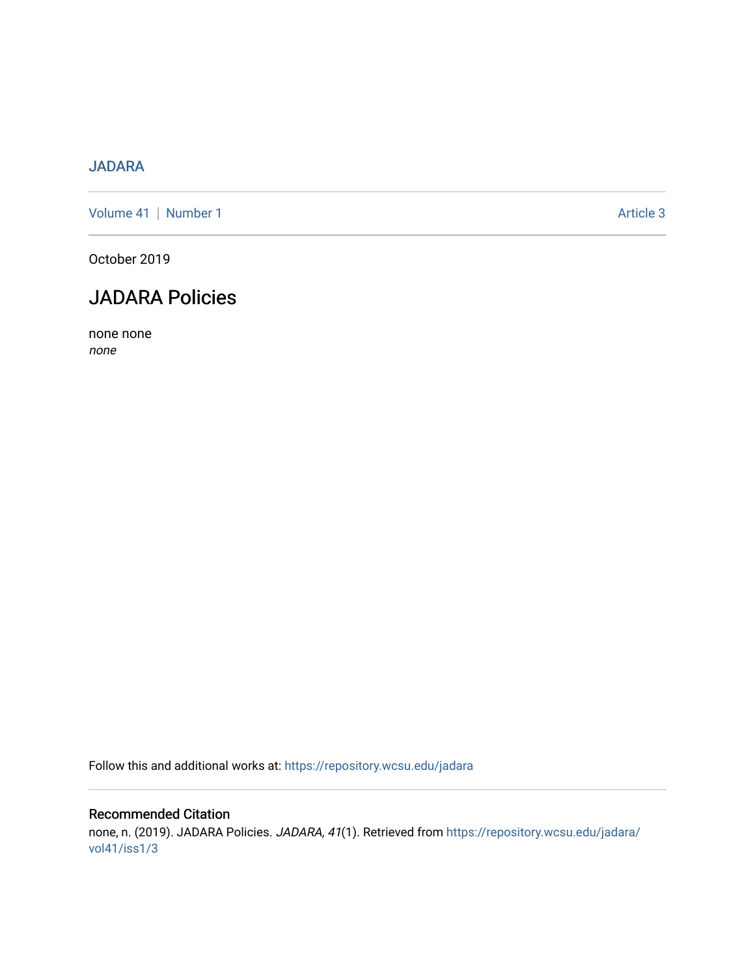## [JADARA](https://repository.wcsu.edu/jadara)

[Volume 41](https://repository.wcsu.edu/jadara/vol41) | [Number 1](https://repository.wcsu.edu/jadara/vol41/iss1) Article 3

October 2019

## JADARA Policies

none none none

Follow this and additional works at: [https://repository.wcsu.edu/jadara](https://repository.wcsu.edu/jadara?utm_source=repository.wcsu.edu%2Fjadara%2Fvol41%2Fiss1%2F3&utm_medium=PDF&utm_campaign=PDFCoverPages)

### Recommended Citation none, n. (2019). JADARA Policies. JADARA, 41(1). Retrieved from [https://repository.wcsu.edu/jadara/](https://repository.wcsu.edu/jadara/vol41/iss1/3?utm_source=repository.wcsu.edu%2Fjadara%2Fvol41%2Fiss1%2F3&utm_medium=PDF&utm_campaign=PDFCoverPages) [vol41/iss1/3](https://repository.wcsu.edu/jadara/vol41/iss1/3?utm_source=repository.wcsu.edu%2Fjadara%2Fvol41%2Fiss1%2F3&utm_medium=PDF&utm_campaign=PDFCoverPages)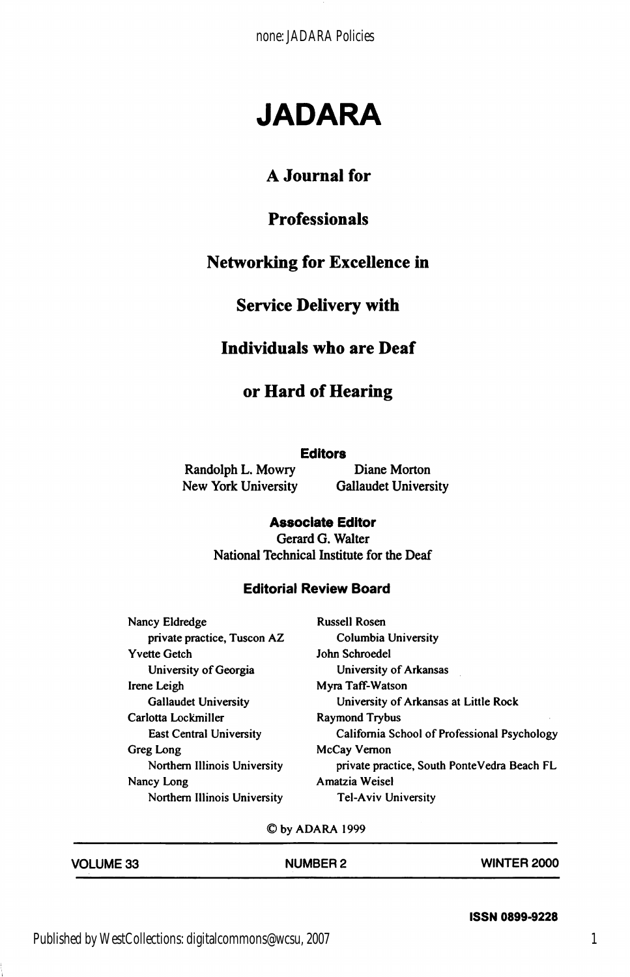none: JADARA Policies

# JADARA

## A Journal for

## Professionals

## Networking for Excellence in

### Service Delivery with

#### Individuals who are Deaf

#### or Hard of Hearing

#### **Editors**

New York University

Randolph L. Mowry Diane Morton<br>New York University Gallaudet University

#### Associate Editor

Gerard G. Walter National Technical Institute for the Deaf

#### Editorial Review Board

| Nancy Eldredge               | <b>Russell Rosen</b>                         |
|------------------------------|----------------------------------------------|
| private practice, Tuscon AZ  | Columbia University                          |
| Yvette Getch                 | John Schroedel                               |
| University of Georgia        | University of Arkansas                       |
| Irene Leigh                  | Myra Taff-Watson                             |
| <b>Gallaudet University</b>  | University of Arkansas at Little Rock        |
| Carlotta Lockmiller          | <b>Raymond Trybus</b>                        |
| East Central University      | California School of Professional Psychology |
| Greg Long                    | McCay Vernon                                 |
| Northern Illinois University | private practice, South PonteVedra Beach FL  |
| Nancy Long                   | Amatzia Weisel                               |
| Northern Illinois University | <b>Tel-Aviv University</b>                   |

©by ADARA 1999

| <b>VOLUME 33</b> | <b>NUMBER 2</b> | <b>WINTER 2000</b> |
|------------------|-----------------|--------------------|
|                  |                 |                    |